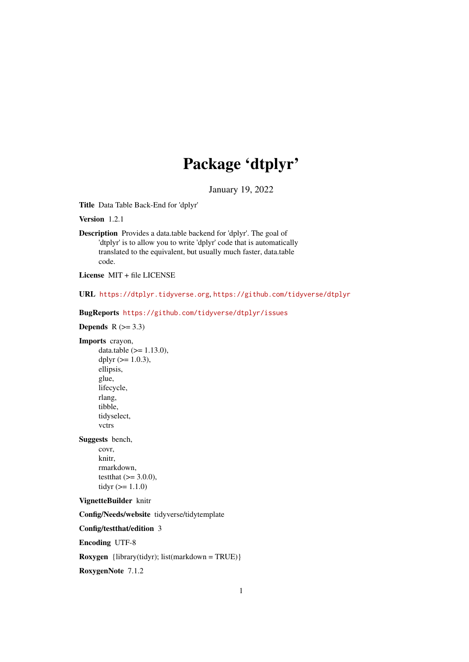# Package 'dtplyr'

January 19, 2022

<span id="page-0-0"></span>Title Data Table Back-End for 'dplyr'

Version 1.2.1

Description Provides a data.table backend for 'dplyr'. The goal of 'dtplyr' is to allow you to write 'dplyr' code that is automatically translated to the equivalent, but usually much faster, data.table code.

License MIT + file LICENSE

URL <https://dtplyr.tidyverse.org>, <https://github.com/tidyverse/dtplyr>

BugReports <https://github.com/tidyverse/dtplyr/issues>

Depends  $R$  ( $>= 3.3$ )

Imports crayon,

data.table  $(>= 1.13.0)$ , dplyr  $(>= 1.0.3)$ , ellipsis, glue, lifecycle, rlang, tibble, tidyselect, vctrs

Suggests bench,

covr, knitr, rmarkdown, testthat  $(>= 3.0.0)$ , tidyr  $(>= 1.1.0)$ 

## VignetteBuilder knitr

Config/Needs/website tidyverse/tidytemplate

Config/testthat/edition 3

Encoding UTF-8

**Roxygen** {library(tidyr); list(markdown = TRUE)}

RoxygenNote 7.1.2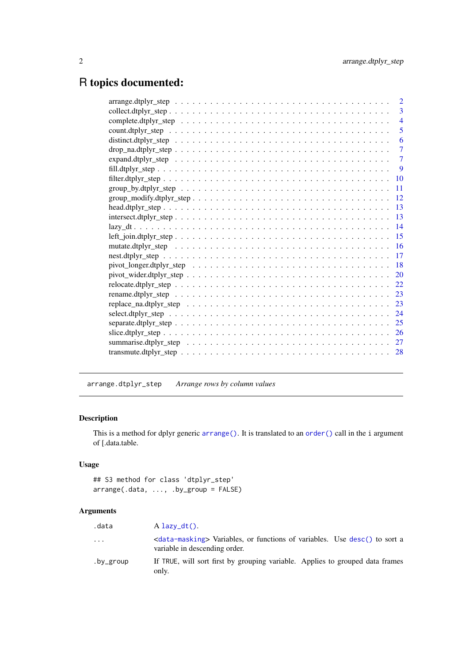# <span id="page-1-0"></span>R topics documented:

| $\overline{2}$                                                                                                            |
|---------------------------------------------------------------------------------------------------------------------------|
| 3                                                                                                                         |
| $\overline{4}$                                                                                                            |
| 5                                                                                                                         |
| 6                                                                                                                         |
| 7                                                                                                                         |
| $\tau$                                                                                                                    |
| -9                                                                                                                        |
|                                                                                                                           |
| 11                                                                                                                        |
| 12                                                                                                                        |
| 13                                                                                                                        |
| 13                                                                                                                        |
| 14                                                                                                                        |
| 15<br>$left\_join.dtplyr\_step \ldots \ldots \ldots \ldots \ldots \ldots \ldots \ldots \ldots \ldots \ldots \ldots$       |
| <b>16</b>                                                                                                                 |
| 17                                                                                                                        |
| <b>18</b>                                                                                                                 |
| 20                                                                                                                        |
| 22                                                                                                                        |
| 23                                                                                                                        |
| 23<br>replace_na.dtplyr_step $\ldots \ldots \ldots \ldots \ldots \ldots \ldots \ldots \ldots \ldots \ldots \ldots \ldots$ |
| 24                                                                                                                        |
| 25                                                                                                                        |
|                                                                                                                           |
| 27                                                                                                                        |
| 28                                                                                                                        |
|                                                                                                                           |

arrange.dtplyr\_step *Arrange rows by column values*

# Description

This is a method for dplyr generic [arrange\(\)](#page-0-0). It is translated to an [order\(\)](#page-0-0) call in the i argument of [.data.table.

# Usage

```
## S3 method for class 'dtplyr_step'
arrange(.data, ..., .by_group = FALSE)
```

| .data     | $A$ lazy_dt().                                                                                                             |
|-----------|----------------------------------------------------------------------------------------------------------------------------|
| $\ddotsc$ | <data-masking> Variables, or functions of variables. Use desc() to sort a<br/>variable in descending order.</data-masking> |
| .by_group | If TRUE, will sort first by grouping variable. Applies to grouped data frames<br>only.                                     |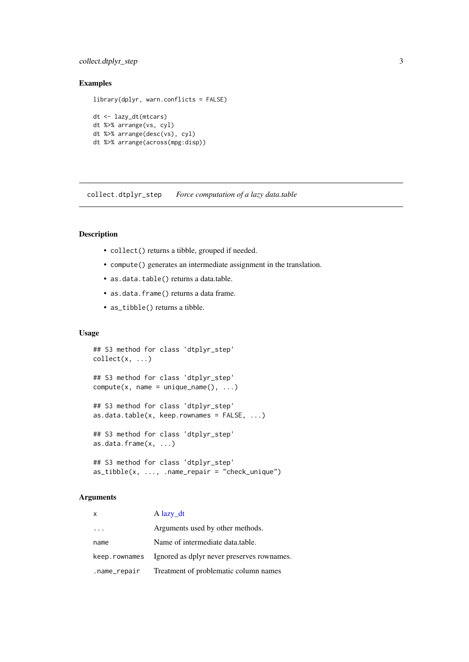#### <span id="page-2-0"></span>collect.dtplyr\_step 3

## Examples

```
library(dplyr, warn.conflicts = FALSE)
dt <- lazy_dt(mtcars)
dt %>% arrange(vs, cyl)
dt %>% arrange(desc(vs), cyl)
dt %>% arrange(across(mpg:disp))
```
collect.dtplyr\_step *Force computation of a lazy data.table*

#### Description

- collect() returns a tibble, grouped if needed.
- compute() generates an intermediate assignment in the translation.
- as.data.table() returns a data.table.
- as.data.frame() returns a data frame.
- as\_tibble() returns a tibble.

## Usage

```
## S3 method for class 'dtplyr_step'
collect(x, \ldots)## S3 method for class 'dtplyr_step'
compute(x, name = unique_name(), ...)## S3 method for class 'dtplyr_step'
as.data.table(x, keep.rownames = FALSE, ...)## S3 method for class 'dtplyr_step'
as.data.frame(x, ...)
## S3 method for class 'dtplyr_step'
as\_tibble(x, ..., .name\_repair = "check\_unique")
```

| $\boldsymbol{\mathsf{x}}$ | $A$ lazy_dt                                |
|---------------------------|--------------------------------------------|
|                           | Arguments used by other methods.           |
| name                      | Name of intermediate data.table.           |
| keep.rownames             | Ignored as dplyr never preserves rownames. |
| .name_repair              | Treatment of problematic column names      |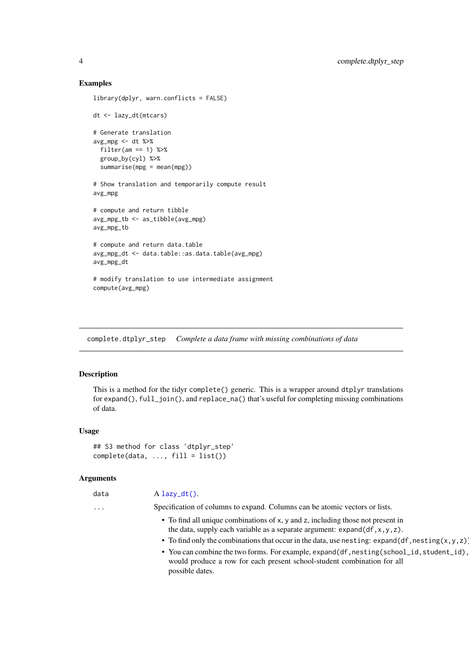```
library(dplyr, warn.conflicts = FALSE)
dt <- lazy_dt(mtcars)
# Generate translation
avg_mpg < - dt %>%
  filter(am == 1) %>%
  group_by(cyl) %>%
  summarise(mpg = mean(mpg))
# Show translation and temporarily compute result
avg_mpg
# compute and return tibble
avg_mpg_tb <- as_tibble(avg_mpg)
avg_mpg_tb
# compute and return data.table
avg_mpg_dt <- data.table::as.data.table(avg_mpg)
avg_mpg_dt
# modify translation to use intermediate assignment
compute(avg_mpg)
```
complete.dtplyr\_step *Complete a data frame with missing combinations of data*

#### Description

This is a method for the tidyr complete() generic. This is a wrapper around dtplyr translations for expand(), full\_join(), and replace\_na() that's useful for completing missing combinations of data.

#### Usage

```
## S3 method for class 'dtplyr_step'
complete(data, ..., fill = list())
```
#### Arguments

| $\sim$<br>. .<br>. . | v<br>. .<br>×<br>۰. |  |
|----------------------|---------------------|--|
|                      |                     |  |

data A [lazy\\_dt\(\)](#page-13-1).

... Specification of columns to expand. Columns can be atomic vectors or lists.

- To find all unique combinations of x, y and z, including those not present in the data, supply each variable as a separate argument:  $expand(df,x,y,z)$ .
- To find only the combinations that occur in the data, use nesting: expand(df,nesting(x,y,z)
- You can combine the two forms. For example, expand(df,nesting(school\_id,student\_id), would produce a row for each present school-student combination for all possible dates.

<span id="page-3-0"></span>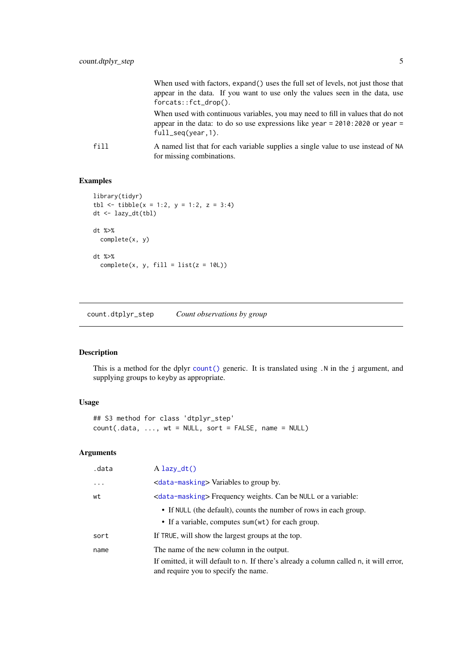<span id="page-4-0"></span>

|      | When used with factors, expand() uses the full set of levels, not just those that<br>appear in the data. If you want to use only the values seen in the data, use<br>$f$ orcats:: $fct_drop()$ . |
|------|--------------------------------------------------------------------------------------------------------------------------------------------------------------------------------------------------|
|      | When used with continuous variables, you may need to fill in values that do not<br>appear in the data: to do so use expressions like year = $2010:2020$ or year =<br>$full\_seq(year, 1).$       |
| fill | A named list that for each variable supplies a single value to use instead of NA<br>for missing combinations.                                                                                    |

```
library(tidyr)
tbl \le tibble(x = 1:2, y = 1:2, z = 3:4)
dt <- lazy_dt(tbl)
dt %>%
  complete(x, y)
dt %>%
  complete(x, y, fill = list(z = 10L))
```
count.dtplyr\_step *Count observations by group*

## Description

This is a method for the dplyr [count\(\)](#page-0-0) generic. It is translated using .N in the j argument, and supplying groups to keyby as appropriate.

## Usage

```
## S3 method for class 'dtplyr_step'
count(.data, ..., wt = NULL, sort = FALSE, name = NULL)
```

| .data    | $A$ lazy_dt()                                                                                                                                                               |
|----------|-----------------------------------------------------------------------------------------------------------------------------------------------------------------------------|
| $\ddots$ | <data-masking> Variables to group by.</data-masking>                                                                                                                        |
| wt       | <data-masking> Frequency weights. Can be NULL or a variable:</data-masking>                                                                                                 |
|          | • If NULL (the default), counts the number of rows in each group.<br>• If a variable, computes sum(wt) for each group.                                                      |
| sort     | If TRUE, will show the largest groups at the top.                                                                                                                           |
| name     | The name of the new column in the output.<br>If omitted, it will default to n. If there's already a column called n, it will error,<br>and require you to specify the name. |
|          |                                                                                                                                                                             |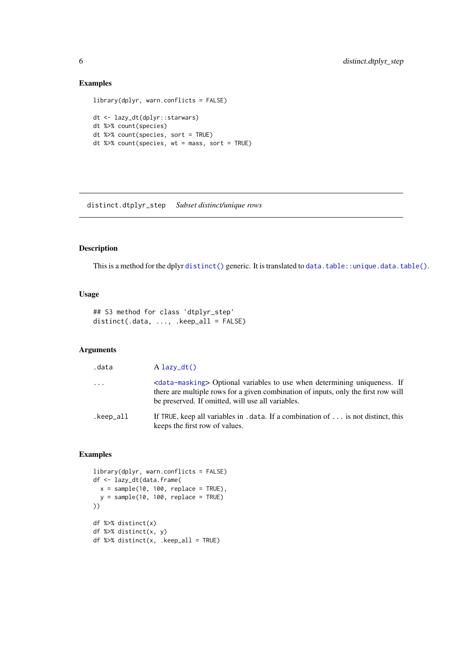```
library(dplyr, warn.conflicts = FALSE)
dt <- lazy_dt(dplyr::starwars)
dt %>% count(species)
dt %>% count(species, sort = TRUE)
dt %>% count(species, wt = mass, sort = TRUE)
```
distinct.dtplyr\_step *Subset distinct/unique rows*

### Description

This is a method for the dplyr [distinct\(\)](#page-0-0) generic. It is translated to [data.table::unique.data.table\(\)](#page-0-0).

## Usage

## S3 method for class 'dtplyr\_step' distinct(.data, ..., .keep\_all = FALSE)

#### Arguments

| .data     | $A$ lazy_dt()                                                                                                                                                                                                                        |
|-----------|--------------------------------------------------------------------------------------------------------------------------------------------------------------------------------------------------------------------------------------|
| $\cdot$   | <data-masking> Optional variables to use when determining uniqueness. If<br/>there are multiple rows for a given combination of inputs, only the first row will<br/>be preserved. If omitted, will use all variables.</data-masking> |
| .keep_all | If TRUE, keep all variables in . data. If a combination of is not distinct, this<br>keeps the first row of values.                                                                                                                   |

## Examples

```
library(dplyr, warn.conflicts = FALSE)
df <- lazy_dt(data.frame(
 x = sample(10, 100, replace = TRUE),y = sample(10, 100, replace = TRUE))df %>% distinct(x)
df %>% distinct(x, y)
df %>% distinct(x, .keep_all = TRUE)
```
<span id="page-5-0"></span>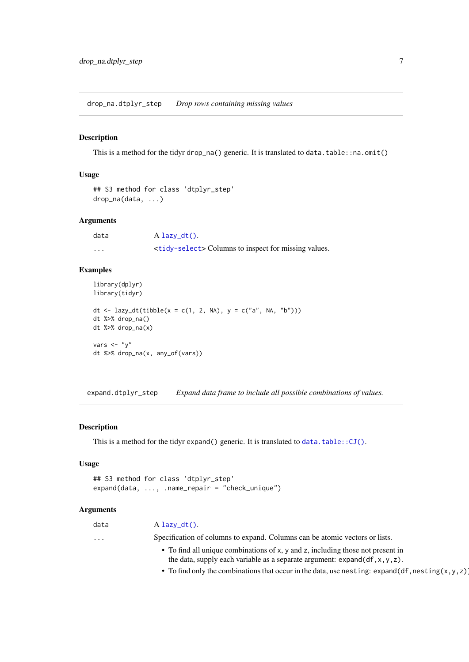<span id="page-6-0"></span>drop\_na.dtplyr\_step *Drop rows containing missing values*

## Description

This is a method for the tidyr drop\_na() generic. It is translated to data.table::na.omit()

#### Usage

```
## S3 method for class 'dtplyr_step'
drop_na(data, ...)
```
## Arguments

| data     | $A$ lazy_dt().                                                     |
|----------|--------------------------------------------------------------------|
| $\cdots$ | <tidy-select> Columns to inspect for missing values.</tidy-select> |

## Examples

```
library(dplyr)
library(tidyr)
dt <- lazy_dt(tibble(x = c(1, 2, NA), y = c("a", NA, "b")))
dt %>% drop_na()
dt %>% drop_na(x)
vars \langle - "y"
dt %>% drop_na(x, any_of(vars))
```
expand.dtplyr\_step *Expand data frame to include all possible combinations of values.*

## Description

This is a method for the tidyr expand() generic. It is translated to [data.table::CJ\(\)](#page-0-0).

## Usage

```
## S3 method for class 'dtplyr_step'
expand(data, ..., .name_repair = "check_unique")
```
#### Arguments

| data                    | $A$ lazy_dt().                                                                                                                                                              |
|-------------------------|-----------------------------------------------------------------------------------------------------------------------------------------------------------------------------|
| $\cdot$ $\cdot$ $\cdot$ | Specification of columns to expand. Columns can be atomic vectors or lists.                                                                                                 |
|                         | • To find all unique combinations of x, y and z, including those not present in<br>the data, supply each variable as a separate argument: $\exp(\text{df} \cdot x, y, z)$ . |

• To find only the combinations that occur in the data, use nesting: expand(df,nesting(x,y,z)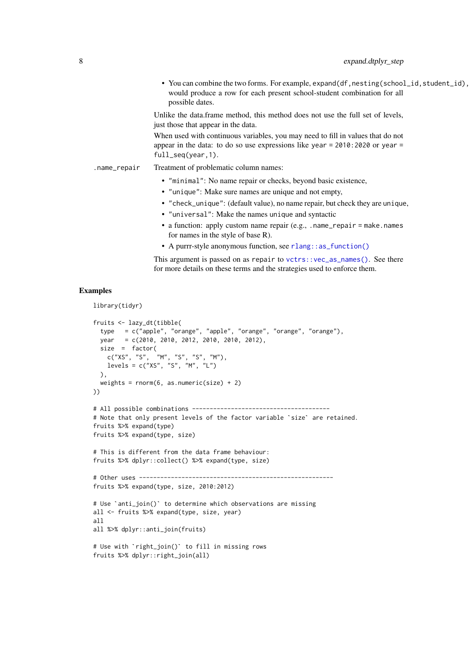• You can combine the two forms. For example, expand(df,nesting(school\_id,student\_id), would produce a row for each present school-student combination for all possible dates.

Unlike the data.frame method, this method does not use the full set of levels, just those that appear in the data.

When used with continuous variables, you may need to fill in values that do not appear in the data: to do so use expressions like year = 2010:2020 or year = full\_seq(year,1).

.name\_repair Treatment of problematic column names:

- "minimal": No name repair or checks, beyond basic existence,
- "unique": Make sure names are unique and not empty,
- "check\_unique": (default value), no name repair, but check they are unique,
- "universal": Make the names unique and syntactic
- a function: apply custom name repair (e.g., .name\_repair = make.names for names in the style of base R).
- A purrr-style anonymous function, see [rlang::as\\_function\(\)](#page-0-0)

This argument is passed on as repair to [vctrs::vec\\_as\\_names\(\)](#page-0-0). See there for more details on these terms and the strategies used to enforce them.

#### Examples

library(tidyr)

```
fruits <- lazy_dt(tibble(
  type = c("apple", "orange", "apple", "orange", "orange", "orange"),
  year = c(2010, 2010, 2012, 2010, 2010, 2012),
  size = factor(
    c("XS", "S", "M", "S", "S", "M"),
    levels = c("XS", "S", "M", "L")),
  weights = rnorm(6, as.numeric(size) + 2)))
# All possible combinations ---------------------------------------
# Note that only present levels of the factor variable `size` are retained.
fruits %>% expand(type)
fruits %>% expand(type, size)
# This is different from the data frame behaviour:
fruits %>% dplyr::collect() %>% expand(type, size)
# Other uses -------------------------------------------------------
fruits %>% expand(type, size, 2010:2012)
# Use `anti_join()` to determine which observations are missing
all <- fruits %>% expand(type, size, year)
all
all %>% dplyr::anti_join(fruits)
# Use with `right_join()` to fill in missing rows
fruits %>% dplyr::right_join(all)
```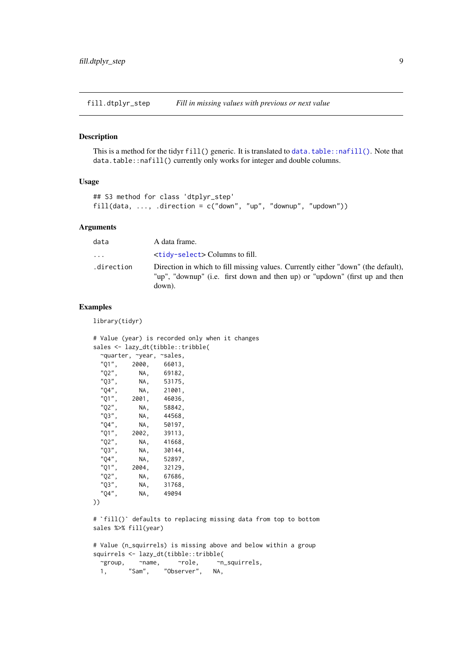<span id="page-8-0"></span>fill.dtplyr\_step *Fill in missing values with previous or next value*

## Description

This is a method for the tidyr fill() generic. It is translated to [data.table::nafill\(\)](#page-0-0). Note that data.table::nafill() currently only works for integer and double columns.

## Usage

```
## S3 method for class 'dtplyr_step'
fill(data, ..., .direction = c("down", "up", "downup", "updown")
```
#### Arguments

| data       | A data frame.                                                                                                                                                              |
|------------|----------------------------------------------------------------------------------------------------------------------------------------------------------------------------|
| $\ddots$   | <tidy-select> Columns to fill.</tidy-select>                                                                                                                               |
| .direction | Direction in which to fill missing values. Currently either "down" (the default),<br>"up", "downup" (i.e. first down and then up) or "updown" (first up and then<br>down). |

## Examples

library(tidyr)

```
# Value (year) is recorded only when it changes
sales <- lazy_dt(tibble::tribble(
  ~quarter, ~year, ~sales,
  "Q1", 2000, 66013,
  "Q2", NA, 69182,<br>"Q3", NA, 53175,
  "Q3", NA, 53175,<br>"Q4", NA, 21001,
              NA, 21001,
  "Q1", 2001, 46036,
  "Q2", NA, 58842,<br>"Q3", NA, 44568,
              NA, 44568,
  "Q4", NA, 50197,<br>"Q1", 2002, 39113,
  "Q1", 2002, 39113,<br>"02". NA, 41668,
  "Q2", NA, 41668,<br>"03". NA, 30144,
  "Q3", NA, 30144,<br>"Q4", NA, 52897,
              NA, 52897,
  "Q1", 2004, 32129,
  "Q2", NA, 67686,<br>"Q3", NA, 31768,
              NA, 31768,
  "Q4", NA, 49094
```

```
))
```
# `fill()` defaults to replacing missing data from top to bottom sales %>% fill(year)

# Value (n\_squirrels) is missing above and below within a group squirrels <- lazy\_dt(tibble::tribble( ~group, ~name, ~role, ~n\_squirrels,<br>1, "Sam", "Observer", NA, 1, "Sam", "Observer", NA,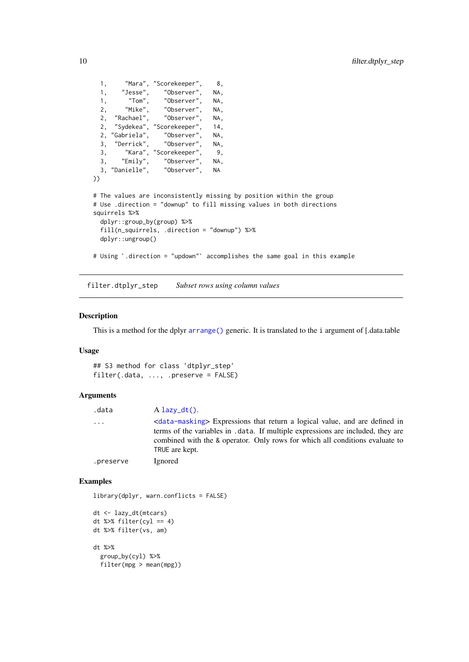```
1, "Mara", "Scorekeeper", 8,
  1, "Jesse", "Observer", NA,
  1, "Tom", "Observer", NA,<br>2, "Mike", "Observer", NA,
  2, "Mike", "Observer", NA,<br>2. "Rachael", "Observer", NA,
  2, "Rachael", "Observer", NA,
  2, "Sydekea", "Scorekeeper", 14,<br>2. "Gabriela", "Observer", NA,
  2, "Gabriela", "Observer", NA,
  3, "Derrick", "Observer", NA,
  3, "Kara", "Scorekeeper", 9,
  3, "Emily", "Observer", NA,<br>3, "Emily", "Observer", NA,<br>3, "Danielle", "Observer", NA
  3, "Danielle", "Observer", NA
))
# The values are inconsistently missing by position within the group
# Use .direction = "downup" to fill missing values in both directions
squirrels %>%
  dplyr::group_by(group) %>%
  fill(n_squirrels, .direction = "downup") %>%
  dplyr::ungroup()
# Using `.direction = "updown"` accomplishes the same goal in this example
```
filter.dtplyr\_step *Subset rows using column values*

## Description

This is a method for the dplyr [arrange\(\)](#page-0-0) generic. It is translated to the i argument of [.data.table

## Usage

## S3 method for class 'dtplyr\_step' filter(.data, ..., .preserve = FALSE)

## Arguments

| .data     | $A$ lazy_dt().                                                                                                                                                                                                                                                                         |
|-----------|----------------------------------------------------------------------------------------------------------------------------------------------------------------------------------------------------------------------------------------------------------------------------------------|
| $\cdots$  | <data-masking> Expressions that return a logical value, and are defined in<br/>terms of the variables in . data. If multiple expressions are included, they are<br/>combined with the &amp; operator. Only rows for which all conditions evaluate to<br/>TRUE are kept.</data-masking> |
| .preserve | Ignored                                                                                                                                                                                                                                                                                |

#### Examples

library(dplyr, warn.conflicts = FALSE)

```
dt <- lazy_dt(mtcars)
dt %>% filter(cyl == 4)
dt %>% filter(vs, am)
dt %>%
 group_by(cyl) %>%
  filter(mpg > mean(mpg))
```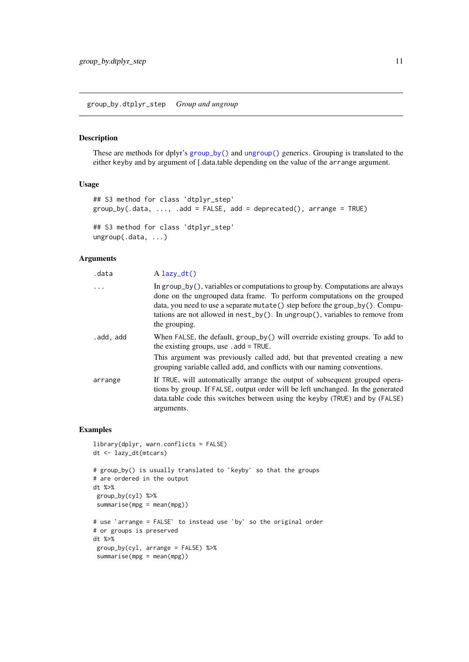<span id="page-10-0"></span>group\_by.dtplyr\_step *Group and ungroup*

#### Description

These are methods for dplyr's [group\\_by\(\)](#page-0-0) and [ungroup\(\)](#page-0-0) generics. Grouping is translated to the either keyby and by argument of [.data.table depending on the value of the arrange argument.

## Usage

```
## S3 method for class 'dtplyr_step'
group_by(.data, ..., .add = FALSE, add = deprecated(), arrange = TRUE)
## S3 method for class 'dtplyr_step'
ungroup(.data, ...)
```
## Arguments

| .data     | $A$ lazy_dt()                                                                                                                                                                                                                                                                                                                                    |
|-----------|--------------------------------------------------------------------------------------------------------------------------------------------------------------------------------------------------------------------------------------------------------------------------------------------------------------------------------------------------|
| $\ddots$  | In $group_by()$ , variables or computations to group by. Computations are always<br>done on the ungrouped data frame. To perform computations on the grouped<br>data, you need to use a separate mutate() step before the group_by(). Compu-<br>tations are not allowed in $nest_by()$ . In ungroup(), variables to remove from<br>the grouping. |
| .add, add | When FALSE, the default, group_by() will override existing groups. To add to<br>the existing groups, use $.add = TRUE$ .<br>This argument was previously called add, but that prevented creating a new                                                                                                                                           |
|           | grouping variable called add, and conflicts with our naming conventions.                                                                                                                                                                                                                                                                         |
| arrange   | If TRUE, will automatically arrange the output of subsequent grouped opera-<br>tions by group. If FALSE, output order will be left unchanged. In the generated<br>data.table code this switches between using the keyby (TRUE) and by (FALSE)<br>arguments.                                                                                      |

#### Examples

```
library(dplyr, warn.conflicts = FALSE)
dt <- lazy_dt(mtcars)
# group_by() is usually translated to `keyby` so that the groups
# are ordered in the output
dt %>%
group_by(cyl) %>%
summarise(mpg = mean(mpg))
# use `arrange = FALSE` to instead use `by` so the original order
# or groups is preserved
dt %>%
group_by(cyl, arrange = FALSE) %>%
summarise(mpg = mean(mpg))
```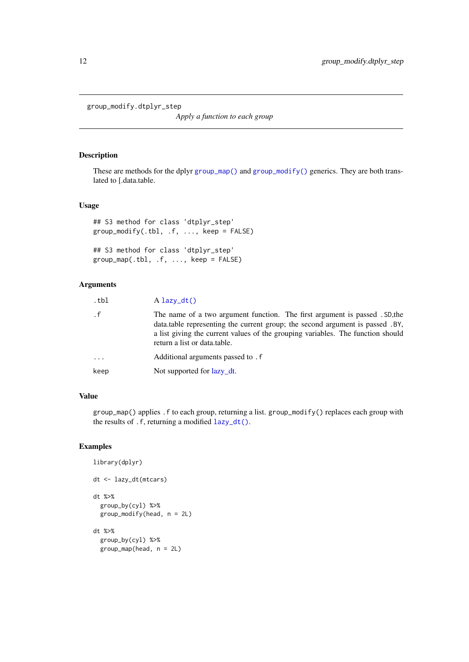<span id="page-11-0"></span>group\_modify.dtplyr\_step

*Apply a function to each group*

## Description

These are methods for the dplyr [group\\_map\(\)](#page-0-0) and [group\\_modify\(\)](#page-0-0) generics. They are both translated to [.data.table.

## Usage

```
## S3 method for class 'dtplyr_step'
group\_modify(.th1, .f, . . . , keep = FALSE)
```

```
## S3 method for class 'dtplyr_step'
group_map(.th1, .f, . . . , keep = FALSE)
```
## Arguments

| .tbl     | $A$ lazy_dt()                                                                                                                                                                                                                                                                   |
|----------|---------------------------------------------------------------------------------------------------------------------------------------------------------------------------------------------------------------------------------------------------------------------------------|
| . f      | The name of a two argument function. The first argument is passed . SD, the<br>data.table representing the current group; the second argument is passed .BY,<br>a list giving the current values of the grouping variables. The function should<br>return a list or data.table. |
| $\cdots$ | Additional arguments passed to . f                                                                                                                                                                                                                                              |
| keep     | Not supported for lazy dt.                                                                                                                                                                                                                                                      |
|          |                                                                                                                                                                                                                                                                                 |

# Value

group\_map() applies .f to each group, returning a list. group\_modify() replaces each group with the results of .f, returning a modified [lazy\\_dt\(\)](#page-13-1).

## Examples

library(dplyr)

```
dt <- lazy_dt(mtcars)
dt %>%
  group_by(cyl) %>%
  group_modify(head, n = 2L)
dt %>%
  group_by(cyl) %>%
  group_map(head, n = 2L)
```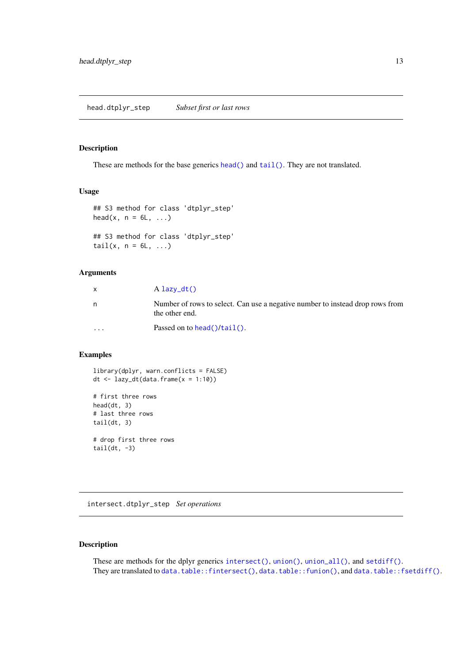## <span id="page-12-0"></span>Description

These are methods for the base generics [head\(\)](#page-0-0) and [tail\(\)](#page-0-0). They are not translated.

#### Usage

```
## S3 method for class 'dtplyr_step'
head(x, n = 6L, ...)## S3 method for class 'dtplyr_step'
tail(x, n = 6L, ...)
```
## Arguments

|          | $A$ lazy_dt()                                                                                   |
|----------|-------------------------------------------------------------------------------------------------|
| n        | Number of rows to select. Can use a negative number to instead drop rows from<br>the other end. |
| $\cdots$ | Passed on to head( $\frac{1}{\tan 1}$ ).                                                        |

#### Examples

library(dplyr, warn.conflicts = FALSE) dt  $\leftarrow$  lazy\_dt(data.frame(x = 1:10))

```
# first three rows
head(dt, 3)
# last three rows
tail(dt, 3)
# drop first three rows
tail(dt, -3)
```
intersect.dtplyr\_step *Set operations*

#### Description

These are methods for the dplyr generics [intersect\(\)](#page-0-0), [union\(\)](#page-0-0), [union\\_all\(\)](#page-0-0), and [setdiff\(\)](#page-0-0). They are translated to [data.table::fintersect\(\)](#page-0-0), [data.table::funion\(\)](#page-0-0), and [data.table::fsetdiff\(\)](#page-0-0).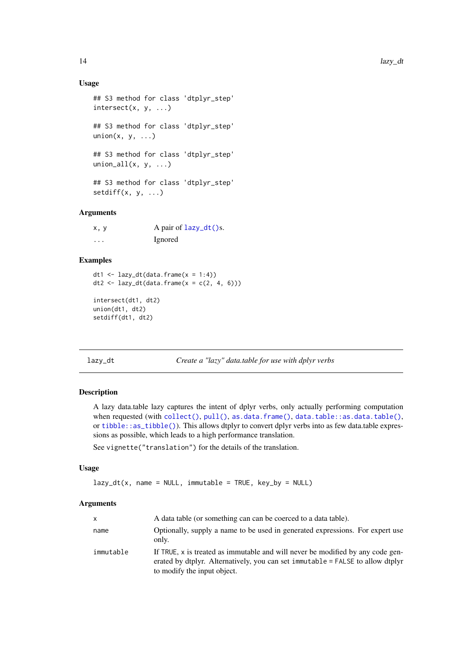#### Usage

```
## S3 method for class 'dtplyr_step'
intersect(x, y, ...)
## S3 method for class 'dtplyr_step'
union(x, y, \ldots)## S3 method for class 'dtplyr_step'
union_all(x, y, \ldots)## S3 method for class 'dtplyr_step'
setdiff(x, y, ...)
```
# Arguments

| x, y     | A pair of $lazy_d(t)$ s. |
|----------|--------------------------|
| $\cdots$ | Ignored                  |

#### Examples

```
dt1 <- lazy_dt(data.frame(x = 1:4))dt2 <- lazy_dt(data.frame(x = c(2, 4, 6)))
intersect(dt1, dt2)
union(dt1, dt2)
```
setdiff(dt1, dt2)

<span id="page-13-1"></span>lazy\_dt *Create a "lazy" data.table for use with dplyr verbs*

## Description

A lazy data.table lazy captures the intent of dplyr verbs, only actually performing computation when requested (with [collect\(\)](#page-0-0), [pull\(\)](#page-0-0), [as.data.frame\(\)](#page-0-0), [data.table::as.data.table\(\)](#page-0-0), or [tibble::as\\_tibble\(\)](#page-0-0)). This allows dtplyr to convert dplyr verbs into as few data.table expressions as possible, which leads to a high performance translation.

See vignette("translation") for the details of the translation.

## Usage

```
lazy_dt(x, name = NULL, immutable = TRUE, key_by = NULL)
```

| <b>X</b>  | A data table (or something can can be coerced to a data table).                                                                                                                                 |
|-----------|-------------------------------------------------------------------------------------------------------------------------------------------------------------------------------------------------|
| name      | Optionally, supply a name to be used in generated expressions. For expert use<br>only.                                                                                                          |
| immutable | If TRUE, x is treated as immutable and will never be modified by any code gen-<br>erated by dtplyr. Alternatively, you can set immutable = FALSE to allow dtplyr<br>to modify the input object. |

<span id="page-13-0"></span>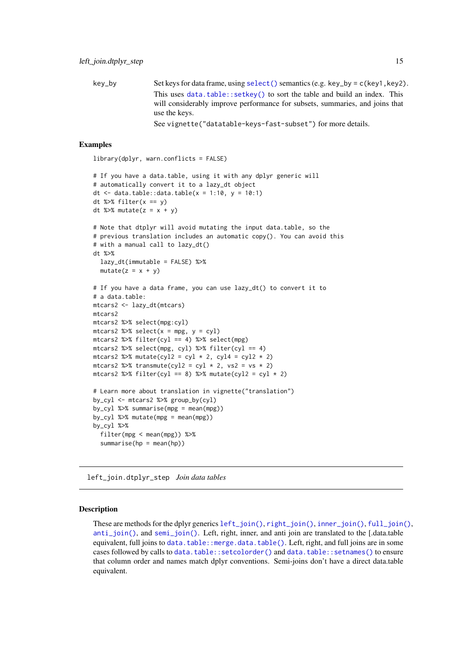<span id="page-14-0"></span> $key_by$  Set keys for data frame, using [select\(\)](#page-0-0) semantics (e.g. key\_by = c(key1, key2). This uses [data.table::setkey\(\)](#page-0-0) to sort the table and build an index. This will considerably improve performance for subsets, summaries, and joins that use the keys. See vignette("datatable-keys-fast-subset") for more details.

#### Examples

```
library(dplyr, warn.conflicts = FALSE)
```

```
# If you have a data.table, using it with any dplyr generic will
# automatically convert it to a lazy_dt object
dt \le data.table::data.table(x = 1:10, y = 10:1)
dt %>% filter(x == y)
dt %>% mutate(z = x + y)
```

```
# Note that dtplyr will avoid mutating the input data.table, so the
# previous translation includes an automatic copy(). You can avoid this
# with a manual call to lazy_dt()
dt %>%
```

```
lazy_dt(immutable = FALSE) %>%
mutate(z = x + y)
```

```
# If you have a data frame, you can use lazy_dt() to convert it to
# a data.table:
mtcars2 <- lazy_dt(mtcars)
mtcars2
mtcars2 %>% select(mpg:cyl)
mtcars2 %>% select(x = mpg, y = cyl)
mtcars2 %>% filter(cyl == 4) %>% select(mpg)
mtcars2 %>% select(mpg, cyl) %>% filter(cyl == 4)
mtcars2 %>% mutate(cyl2 = cyl * 2, cyl4 = cyl2 * 2)
mtcars2 %>% transmute(cyl2 = cyl * 2, vs2 = vs * 2)
mtcars2 %>% filter(cyl == 8) %>% mutate(cyl2 = cyl * 2)
```

```
# Learn more about translation in vignette("translation")
by_cyl <- mtcars2 %>% group_by(cyl)
by_cyl %>% summarise(mpg = mean(mpg))
by_cyl %>% mutate(mpg = mean(mpg))
by_cyl %>%
  filter(mpg < mean(mpg)) %>%
  summarise(hp = mean(hp))
```
left\_join.dtplyr\_step *Join data tables*

#### Description

These are methods for the dplyr generics [left\\_join\(\)](#page-0-0), [right\\_join\(\)](#page-0-0), [inner\\_join\(\)](#page-0-0), [full\\_join\(\)](#page-0-0), [anti\\_join\(\)](#page-0-0), and [semi\\_join\(\)](#page-0-0). Left, right, inner, and anti join are translated to the [.data.table equivalent, full joins to [data.table::merge.data.table\(\)](#page-0-0). Left, right, and full joins are in some cases followed by calls to [data.table::setcolorder\(\)](#page-0-0) and [data.table::setnames\(\)](#page-0-0) to ensure that column order and names match dplyr conventions. Semi-joins don't have a direct data.table equivalent.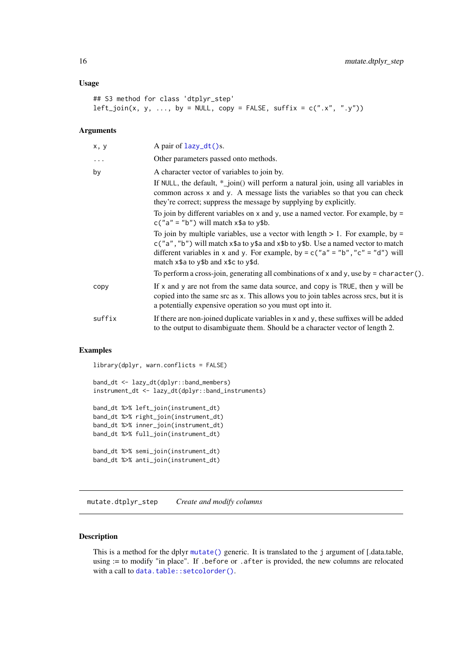#### <span id="page-15-0"></span>Usage

```
## S3 method for class 'dtplyr_step'
left\_join(x, y, ..., by = NULL, copy = FALSE, suffix = c("x", "y"))
```
## Arguments

| x, y      | A pair of $lazy_d(t)$ s.                                                                                                                                                                                                                                                                           |
|-----------|----------------------------------------------------------------------------------------------------------------------------------------------------------------------------------------------------------------------------------------------------------------------------------------------------|
| $\ddotsc$ | Other parameters passed onto methods.                                                                                                                                                                                                                                                              |
| by        | A character vector of variables to join by.                                                                                                                                                                                                                                                        |
|           | If NULL, the default, $*$ _join() will perform a natural join, using all variables in<br>common across x and y. A message lists the variables so that you can check<br>they're correct; suppress the message by supplying by explicitly.                                                           |
|           | To join by different variables on $x$ and $y$ , use a named vector. For example, by =<br>$c("a" = "b")$ will match $x$ \$a to $y$ \$b.                                                                                                                                                             |
|           | To join by multiple variables, use a vector with length $> 1$ . For example, by =<br>c("a", "b") will match x\$a to y\$a and x\$b to y\$b. Use a named vector to match<br>different variables in x and y. For example, by = $c("a" = "b", "c" = "d")$ will<br>match x\$a to y\$b and x\$c to y\$d. |
|           | To perform a cross-join, generating all combinations of x and y, use by = character().                                                                                                                                                                                                             |
| copy      | If x and y are not from the same data source, and copy is TRUE, then y will be<br>copied into the same src as x. This allows you to join tables across srcs, but it is<br>a potentially expensive operation so you must opt into it.                                                               |
| suffix    | If there are non-joined duplicate variables in x and y, these suffixes will be added<br>to the output to disambiguate them. Should be a character vector of length 2.                                                                                                                              |

### Examples

library(dplyr, warn.conflicts = FALSE)

```
band_dt <- lazy_dt(dplyr::band_members)
instrument_dt <- lazy_dt(dplyr::band_instruments)
```

```
band_dt %>% left_join(instrument_dt)
band_dt %>% right_join(instrument_dt)
band_dt %>% inner_join(instrument_dt)
band_dt %>% full_join(instrument_dt)
band_dt %>% semi_join(instrument_dt)
band_dt %>% anti_join(instrument_dt)
```
mutate.dtplyr\_step *Create and modify columns*

## Description

This is a method for the dplyr [mutate\(\)](#page-0-0) generic. It is translated to the j argument of [.data.table, using := to modify "in place". If .before or .after is provided, the new columns are relocated with a call to [data.table::setcolorder\(\)](#page-0-0).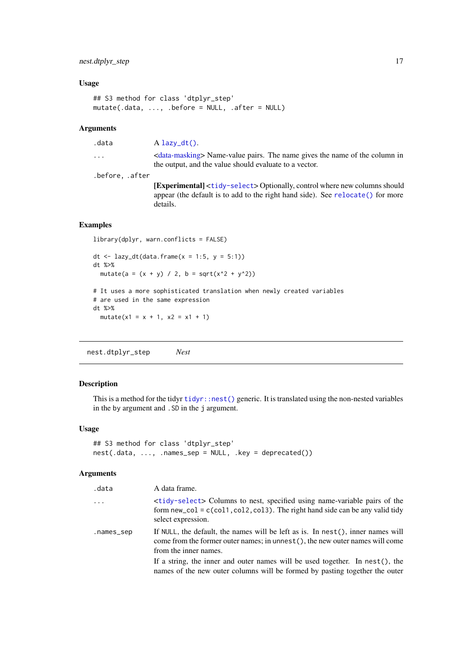#### <span id="page-16-0"></span>nest.dtplyr\_step 17

#### Usage

```
## S3 method for class 'dtplyr_step'
mutate(.data, ..., .before = NULL, .after = NULL)
```
## Arguments

.data A [lazy\\_dt\(\)](#page-13-1).

... [<data-masking>](#page-0-0) Name-value pairs. The name gives the name of the column in the output, and the value should evaluate to a vector.

.before, .after

[Experimental] <[tidy-select](#page-0-0)> Optionally, control where new columns should appear (the default is to add to the right hand side). See [relocate\(\)](#page-0-0) for more details.

#### Examples

```
library(dplyr, warn.conflicts = FALSE)
```

```
dt <- lazy_dt(data.frame(x = 1:5, y = 5:1))
dt %>%
 mutate(a = (x + y) / 2, b = sqrt(x^2 + y^2))
# It uses a more sophisticated translation when newly created variables
# are used in the same expression
dt %>%
  mutate(x1 = x + 1, x2 = x1 + 1)
```
nest.dtplyr\_step *Nest*

## Description

This is a method for the tidyr [tidyr::nest\(\)](#page-0-0) generic. It is translated using the non-nested variables in the by argument and .SD in the j argument.

## Usage

```
## S3 method for class 'dtplyr_step'
nest(.data, ..., .names_sep = NULL, .key = deprecated())
```

| .data      | A data frame.                                                                                                                                                                                                   |
|------------|-----------------------------------------------------------------------------------------------------------------------------------------------------------------------------------------------------------------|
| $\ddotsc$  | <tidy-select> Columns to nest, specified using name-variable pairs of the<br/>form <math>new_{col} = c(col1, col2, col3)</math>. The right hand side can be any valid tidy<br/>select expression.</tidy-select> |
| .names_sep | If NULL, the default, the names will be left as is. In nest(), inner names will<br>come from the former outer names; in unnest (), the new outer names will come<br>from the inner names.                       |
|            | If a string, the inner and outer names will be used together. In nest(), the<br>names of the new outer columns will be formed by pasting together the outer                                                     |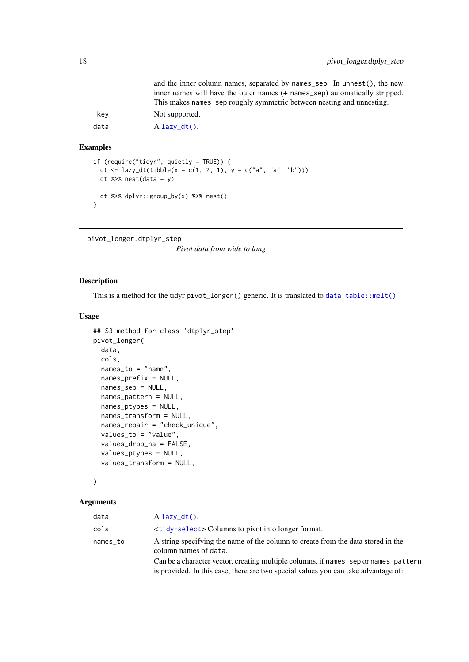<span id="page-17-0"></span>

|      | and the inner column names, separated by names_sep. In unnest(), the new<br>inner names will have the outer names (+ names_sep) automatically stripped.<br>This makes names_sep roughly symmetric between nesting and unnesting. |
|------|----------------------------------------------------------------------------------------------------------------------------------------------------------------------------------------------------------------------------------|
| .kev | Not supported.                                                                                                                                                                                                                   |
| data | $A$ lazy_dt().                                                                                                                                                                                                                   |

```
if (require("tidyr", quietly = TRUE)) {
  dt <- lazy_dt(tibble(x = c(1, 2, 1), y = c("a", "a", "b")))
 dt %>% nest(data = y)
 dt %>% dplyr::group_by(x) %>% nest()
}
```
pivot\_longer.dtplyr\_step

*Pivot data from wide to long*

#### Description

This is a method for the tidyr pivot\_longer() generic. It is translated to [data.table::melt\(\)](#page-0-0)

## Usage

```
## S3 method for class 'dtplyr_step'
pivot_longer(
  data,
  cols,
  names_to = "name",
  names_prefix = NULL,
  names_sep = NULL,
  names_pattern = NULL,
  names_ptypes = NULL,
  names_transform = NULL,
  names_repair = "check_unique",
  values_to = "value",
  values_drop_na = FALSE,
  values_ptypes = NULL,
  values_transform = NULL,
  ...
)
```

| data     | $A$ lazy_dt().                                                                                            |
|----------|-----------------------------------------------------------------------------------------------------------|
| cols     | <b><tidy-select></tidy-select></b> Columns to pivot into longer format.                                   |
| names_to | A string specifying the name of the column to create from the data stored in the<br>column names of data. |
|          | Can be a character vector, creating multiple columns, if names_sep or names_pattern                       |
|          | is provided. In this case, there are two special values you can take advantage of:                        |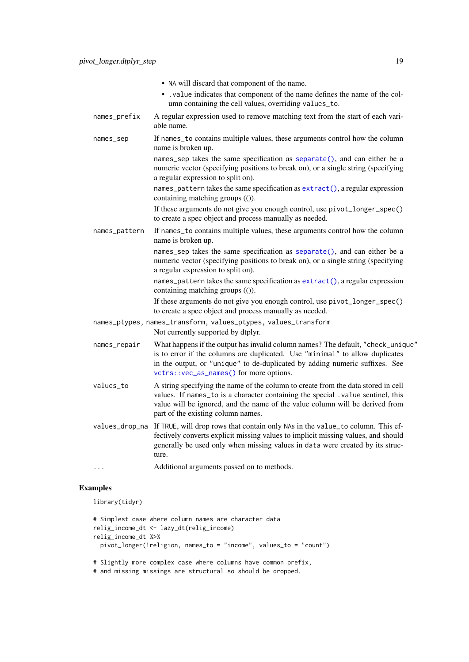- NA will discard that component of the name.
- .value indicates that component of the name defines the name of the column containing the cell values, overriding values\_to.
- names\_prefix A regular expression used to remove matching text from the start of each variable name.
- names\_sep If names\_to contains multiple values, these arguments control how the column name is broken up.
	- names\_sep takes the same specification as [separate\(\)](#page-0-0), and can either be a numeric vector (specifying positions to break on), or a single string (specifying a regular expression to split on).
	- names\_pattern takes the same specification as [extract\(\)](#page-0-0), a regular expression containing matching groups (()).

If these arguments do not give you enough control, use pivot\_longer\_spec() to create a spec object and process manually as needed.

names\_pattern If names\_to contains multiple values, these arguments control how the column name is broken up.

> names\_sep takes the same specification as [separate\(\)](#page-0-0), and can either be a numeric vector (specifying positions to break on), or a single string (specifying a regular expression to split on).

> names\_pattern takes the same specification as [extract\(\)](#page-0-0), a regular expression containing matching groups (()).

> If these arguments do not give you enough control, use pivot\_longer\_spec() to create a spec object and process manually as needed.

- names\_ptypes, names\_transform, values\_ptypes, values\_transform Not currently supported by dtplyr.
- names\_repair What happens if the output has invalid column names? The default, "check\_unique" is to error if the columns are duplicated. Use "minimal" to allow duplicates in the output, or "unique" to de-duplicated by adding numeric suffixes. See [vctrs::vec\\_as\\_names\(\)](#page-0-0) for more options.
- values\_to A string specifying the name of the column to create from the data stored in cell values. If names\_to is a character containing the special .value sentinel, this value will be ignored, and the name of the value column will be derived from part of the existing column names.
- values\_drop\_na If TRUE, will drop rows that contain only NAs in the value\_to column. This effectively converts explicit missing values to implicit missing values, and should generally be used only when missing values in data were created by its structure.

... Additional arguments passed on to methods.

## Examples

library(tidyr)

```
# Simplest case where column names are character data
relig_income_dt <- lazy_dt(relig_income)
relig_income_dt %>%
  pivot_longer(!religion, names_to = "income", values_to = "count")
# Slightly more complex case where columns have common prefix,
```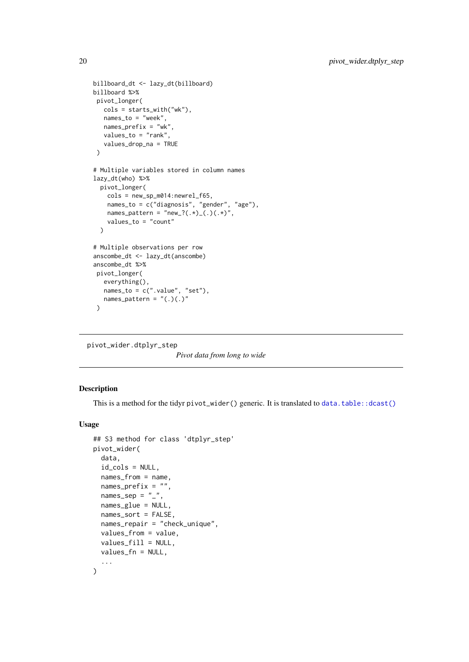```
billboard_dt <- lazy_dt(billboard)
billboard %>%
pivot_longer(
   cols = starts_with("wk"),
   names_to = "week",
  names_prefix = "wk",
   values_to = "rank",
   values_drop_na = TRUE
\lambda# Multiple variables stored in column names
lazy_dt(who) %>%
  pivot_longer(
    cols = new_sp_m014:newrel_f65,
    names_to = c("diagnosis", "gender", "age"),
    names_pattern = "new_?(.\star)_(.\cdot)(.\star)",
    values_to = "count"
  \lambda# Multiple observations per row
anscombe_dt <- lazy_dt(anscombe)
anscombe_dt %>%
pivot_longer(
   everything(),
   names_to = c("value", "set"),names_pattern = "(.)(.)"\lambda
```
pivot\_wider.dtplyr\_step

*Pivot data from long to wide*

## Description

This is a method for the tidyr  $pivot\_width()$  generic. It is translated to data.table:: $dcast()$ 

#### Usage

```
## S3 method for class 'dtplyr_step'
pivot_wider(
  data,
  id_cols = NULL,
  names_from = name,
  names_prefix = ",
  names\_sep = "''',names_glue = NULL,
  names_sort = FALSE,
  names_repair = "check_unique",
  values_from = value,
  values_fill = NULL,
  values_fn = NULL,
  ...
)
```
<span id="page-19-0"></span>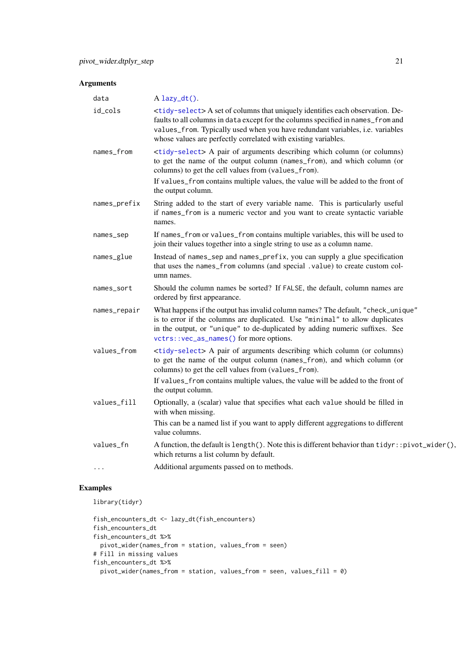## Arguments

| data         | $A$ lazy_dt().                                                                                                                                                                                                                                                                                                                        |
|--------------|---------------------------------------------------------------------------------------------------------------------------------------------------------------------------------------------------------------------------------------------------------------------------------------------------------------------------------------|
| id_cols      | <tidy-select> A set of columns that uniquely identifies each observation. De-<br/>faults to all columns in data except for the columns specified in names_from and<br/>values_from. Typically used when you have redundant variables, i.e. variables<br/>whose values are perfectly correlated with existing variables.</tidy-select> |
| names_from   | <tidy-select> A pair of arguments describing which column (or columns)<br/>to get the name of the output column (names_from), and which column (or<br/>columns) to get the cell values from (values_from).</tidy-select>                                                                                                              |
|              | If values_from contains multiple values, the value will be added to the front of<br>the output column.                                                                                                                                                                                                                                |
| names_prefix | String added to the start of every variable name. This is particularly useful<br>if names_from is a numeric vector and you want to create syntactic variable<br>names.                                                                                                                                                                |
| names_sep    | If names_from or values_from contains multiple variables, this will be used to<br>join their values together into a single string to use as a column name.                                                                                                                                                                            |
| names_glue   | Instead of names_sep and names_prefix, you can supply a glue specification<br>that uses the names_from columns (and special .value) to create custom col-<br>umn names.                                                                                                                                                               |
| names_sort   | Should the column names be sorted? If FALSE, the default, column names are<br>ordered by first appearance.                                                                                                                                                                                                                            |
| names_repair | What happens if the output has invalid column names? The default, "check_unique"<br>is to error if the columns are duplicated. Use "minimal" to allow duplicates<br>in the output, or "unique" to de-duplicated by adding numeric suffixes. See<br>vctrs::vec_as_names() for more options.                                            |
| values_from  | <tidy-select> A pair of arguments describing which column (or columns)<br/>to get the name of the output column (names_from), and which column (or<br/>columns) to get the cell values from (values_from).</tidy-select>                                                                                                              |
|              | If values_from contains multiple values, the value will be added to the front of<br>the output column.                                                                                                                                                                                                                                |
| values_fill  | Optionally, a (scalar) value that specifies what each value should be filled in<br>with when missing.                                                                                                                                                                                                                                 |
|              | This can be a named list if you want to apply different aggregations to different<br>value columns.                                                                                                                                                                                                                                   |
| values_fn    | A function, the default is length(). Note this is different behavior than tidyr:: pivot_wider().<br>which returns a list column by default.                                                                                                                                                                                           |
| $\ddotsc$    | Additional arguments passed on to methods.                                                                                                                                                                                                                                                                                            |

# Examples

library(tidyr)

```
fish_encounters_dt <- lazy_dt(fish_encounters)
fish_encounters_dt
fish_encounters_dt %>%
 pivot_wider(names_from = station, values_from = seen)
# Fill in missing values
fish_encounters_dt %>%
 pivot_wider(names_from = station, values_from = seen, values_fill = 0)
```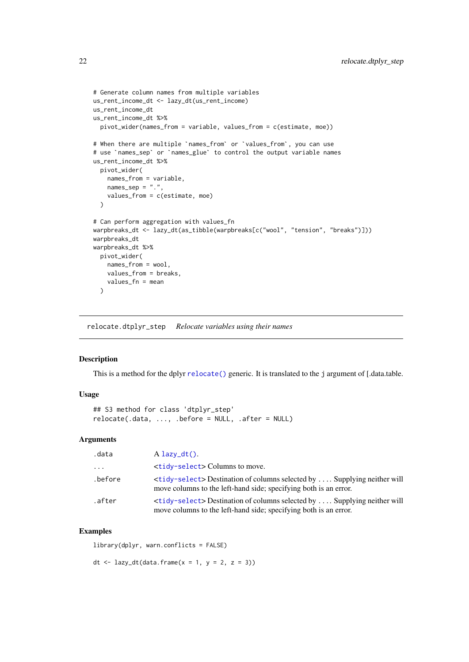```
# Generate column names from multiple variables
us_rent_income_dt <- lazy_dt(us_rent_income)
us_rent_income_dt
us_rent_income_dt %>%
  pivot_wider(names_from = variable, values_from = c(estimate, moe))
# When there are multiple `names_from` or `values_from`, you can use
# use `names_sep` or `names_glue` to control the output variable names
us rent income dt %>%
  pivot_wider(
    names_from = variable,
    names\_sep = "."values_from = c(estimate, moe)
  \lambda# Can perform aggregation with values_fn
warpbreaks_dt <- lazy_dt(as_tibble(warpbreaks[c("wool", "tension", "breaks")]))
warpbreaks_dt
warpbreaks_dt %>%
 pivot_wider(
    names_from = wool,
    values_from = breaks,
    values_fn = mean
  )
```
relocate.dtplyr\_step *Relocate variables using their names*

#### Description

This is a method for the dplyr [relocate\(\)](#page-0-0) generic. It is translated to the j argument of [.data.table.

## Usage

```
## S3 method for class 'dtplyr_step'
relocate(.data, ..., .before = NULL, .after = NULL)
```
## Arguments

| .data    | $A$ lazy_dt().                                                                                                                                             |
|----------|------------------------------------------------------------------------------------------------------------------------------------------------------------|
| $\cdots$ | <tidy-select> Columns to move.</tidy-select>                                                                                                               |
| .before  | <tidy-select>Destination of columns selected by  Supplying neither will<br/>move columns to the left-hand side; specifying both is an error.</tidy-select> |
| .after   | <tidy-select>Destination of columns selected by  Supplying neither will<br/>move columns to the left-hand side; specifying both is an error.</tidy-select> |

#### Examples

library(dplyr, warn.conflicts = FALSE)

dt  $\leftarrow$  lazy\_dt(data.frame(x = 1, y = 2, z = 3))

<span id="page-21-0"></span>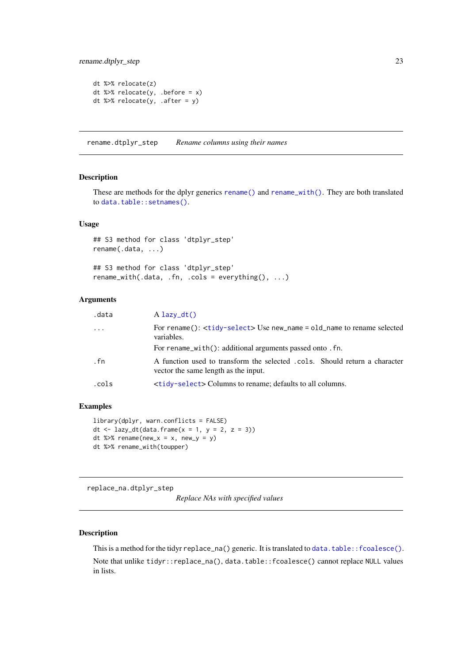<span id="page-22-0"></span>rename.dtplyr\_step 23

```
dt %>% relocate(z)
dt %>% relocate(y, .before = x)
dt %>% relocate(y, .after = y)
```
rename.dtplyr\_step *Rename columns using their names*

#### Description

These are methods for the dplyr generics [rename\(\)](#page-0-0) and [rename\\_with\(\)](#page-0-0). They are both translated to [data.table::setnames\(\)](#page-0-0).

#### Usage

```
## S3 method for class 'dtplyr_step'
rename(.data, ...)
## S3 method for class 'dtplyr_step'
rename\_with(.data, .fn, .cols = everything(), . . .)
```
#### Arguments

| .data     | $A$ lazy_dt()                                                                                                      |
|-----------|--------------------------------------------------------------------------------------------------------------------|
| $\ddotsc$ | For rename(): <tidy-select> Use new_name = old_name to rename selected<br/>variables.</tidy-select>                |
|           | For rename_with(): additional arguments passed onto . fn.                                                          |
| .fn       | A function used to transform the selected .cols. Should return a character<br>vector the same length as the input. |
| .cols     | <tidy-select> Columns to rename; defaults to all columns.</tidy-select>                                            |
|           |                                                                                                                    |

#### Examples

```
library(dplyr, warn.conflicts = FALSE)
dt \leftarrow lazy_dt(data.frame(x = 1, y = 2, z = 3))
dt %>% rename(new_x = x, new_y = y)
dt %>% rename_with(toupper)
```
replace\_na.dtplyr\_step

*Replace NAs with specified values*

#### Description

This is a method for the tidyr replace\_na() generic. It is translated to [data.table::fcoalesce\(\)](#page-0-0).

Note that unlike tidyr::replace\_na(), data.table::fcoalesce() cannot replace NULL values in lists.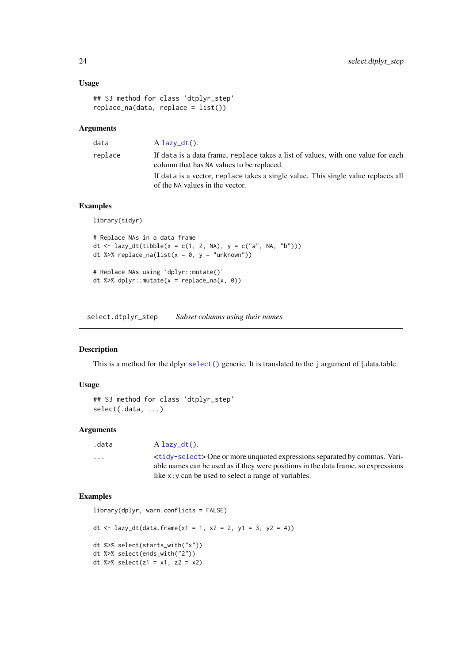#### Usage

```
## S3 method for class 'dtplyr_step'
replace_na(data, replace = list())
```
## Arguments

| $\sim$ | $\sim$ | $\sim$ | × |
|--------|--------|--------|---|
|        |        |        |   |
|        |        |        |   |

data A [lazy\\_dt\(\)](#page-13-1).

replace If data is a data frame, replace takes a list of values, with one value for each column that has NA values to be replaced. If data is a vector, replace takes a single value. This single value replaces all of the NA values in the vector.

## Examples

library(tidyr)

```
# Replace NAs in a data frame
dt <- lazy_dt(tibble(x = c(1, 2, NA), y = c("a", NA, "b")))
dt %\gg% replace_na(list(x = 0, y = "unknown"))
dt <- lazy_dt(tibble(x = c(1, 2, NA),<br>dt %>% replace_na(list(x = 0, y = "un<br># Replace NAs using `dplyr::mutate()`
```

```
dt %>% dplyr::mutate(x = replace_na(x, 0))
```
select.dtplyr\_step *Subset columns using their names*

## Description

This is a method for the dplyr [select\(\)](#page-0-0) generic. It is translated to the j argument of [.data.table.

#### Usage

```
## S3 method for class 'dtplyr_step'
select(.data, ...)
```
#### Arguments

```
lazy_dt().
```
... <[tidy-select](#page-0-0)> One or more unquoted expressions separated by commas. Variable names can be used as if they were positions in the data frame, so expressions like x:y can be used to select a range of variables.

#### Examples

```
library(dplyr, warn.conflicts = FALSE)
dt <- lazy_dt(data.frame(x1 = 1, x2 = 2, y1 = 3, y2 = 4))
dt %>% select(starts_with("x"))
dt %>% select(ends_with("2"))
dt %>% select(z1 = x1, z2 = x2)
```
<span id="page-23-0"></span>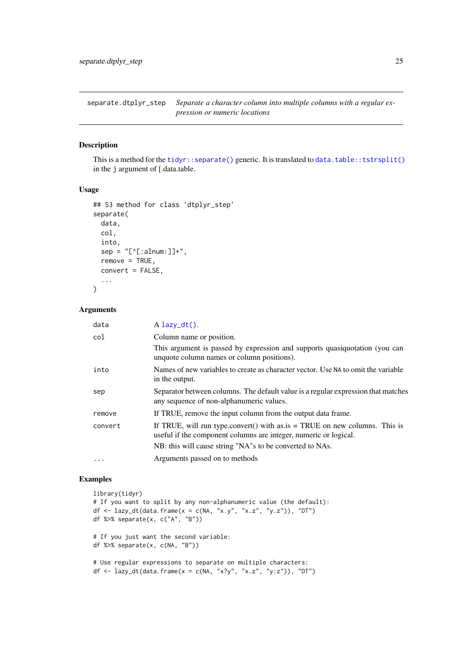<span id="page-24-0"></span>separate.dtplyr\_step *Separate a character column into multiple columns with a regular expression or numeric locations*

#### Description

This is a method for the [tidyr::separate\(\)](#page-0-0) generic. It is translated to [data.table::tstrsplit\(\)](#page-0-0) in the j argument of [.data.table.

#### Usage

```
## S3 method for class 'dtplyr_step'
separate(
  data,
  col,
  into,
  sep = "['[:alnum:]]+",remove = TRUE,convert = FALSE,
  ...
\lambda
```
#### Arguments

| data      | $A$ lazy_dt().                                                                                                                                   |
|-----------|--------------------------------------------------------------------------------------------------------------------------------------------------|
| col       | Column name or position.                                                                                                                         |
|           | This argument is passed by expression and supports quasiquotation (you can<br>unquote column names or column positions).                         |
| into      | Names of new variables to create as character vector. Use NA to omit the variable<br>in the output.                                              |
| sep       | Separator between columns. The default value is a regular expression that matches<br>any sequence of non-alphanumeric values.                    |
| remove    | If TRUE, remove the input column from the output data frame.                                                                                     |
| convert   | If TRUE, will run type.convert() with as $is = TRUE$ on new columns. This is<br>useful if the component columns are integer, numeric or logical. |
|           | NB: this will cause string "NA"s to be converted to NAs.                                                                                         |
| $\ddotsc$ | Arguments passed on to methods                                                                                                                   |

#### Examples

```
library(tidyr)
# If you want to split by any non-alphanumeric value (the default):
df <- lazy_dt(data.frame(x = c(NA, "x.y", "x.z", "y.z")), "DT")
df %>% separate(x, c("A", "B"))
# If you just want the second variable:
df %>% separate(x, c(NA, "B"))
# Use regular expressions to separate on multiple characters:
df <- lazy_dt(data.frame(x = c(NA, "x?y", "x.z", "y:z")), "DT")
```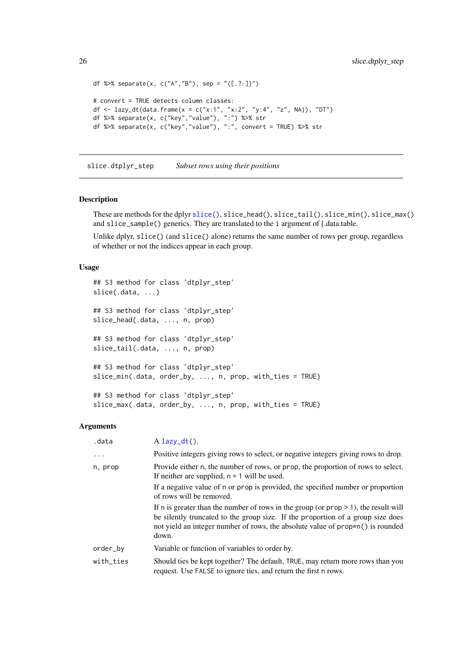```
df %>% separate(x, c("A","B"), sep = "([.?:])")
# convert = TRUE detects column classes:
df <- lazy_dt(data.frame(x = c("x:1", "x:2", "y:4", "z", NA)), "DT")
df %>% separate(x, c("key","value"), ":") %>% str
df %>% separate(x, c("key","value"), ":", convert = TRUE) %>% str
```
slice.dtplyr\_step *Subset rows using their positions*

#### Description

These are methods for the dplyr [slice\(\)](#page-0-0), slice\_head(), slice\_tail(), slice\_min(), slice\_max() and slice\_sample() generics. They are translated to the i argument of [.data.table.

Unlike dplyr, slice() (and slice() alone) returns the same number of rows per group, regardless of whether or not the indices appear in each group.

#### Usage

```
## S3 method for class 'dtplyr_step'
slice(.data, ...)
## S3 method for class 'dtplyr_step'
slice_head(.data, ..., n, prop)
## S3 method for class 'dtplyr_step'
slice_tail(.data, ..., n, prop)
## S3 method for class 'dtplyr_step'
slice_min(.data, order_by, ..., n, prop, with_ties = TRUE)
## S3 method for class 'dtplyr_step'
slice_max(.data, order_by, ..., n, prop, with_ties = TRUE)
```

| .data     | $A$ lazy_dt().                                                                                                                                                                                                                                                         |
|-----------|------------------------------------------------------------------------------------------------------------------------------------------------------------------------------------------------------------------------------------------------------------------------|
| .         | Positive integers giving rows to select, or negative integers giving rows to drop.                                                                                                                                                                                     |
| n, prop   | Provide either n, the number of rows, or prop, the proportion of rows to select.<br>If neither are supplied, $n = 1$ will be used.                                                                                                                                     |
|           | If a negative value of n or prop is provided, the specified number or proportion<br>of rows will be removed.                                                                                                                                                           |
|           | If n is greater than the number of rows in the group (or $prop \ge 1$ ), the result will<br>be silently truncated to the group size. If the proportion of a group size does<br>not yield an integer number of rows, the absolute value of prop*n() is rounded<br>down. |
| order_by  | Variable or function of variables to order by.                                                                                                                                                                                                                         |
| with_ties | Should ties be kept together? The default, TRUE, may return more rows than you<br>request. Use FALSE to ignore ties, and return the first n rows.                                                                                                                      |

<span id="page-25-0"></span>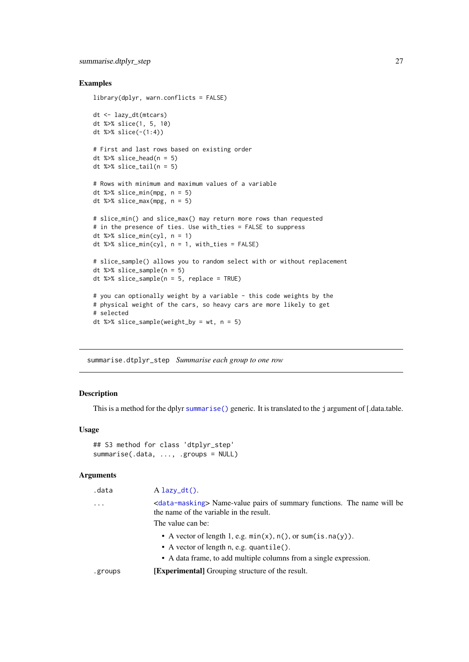#### <span id="page-26-0"></span>summarise.dtplyr\_step 27

## Examples

```
library(dplyr, warn.conflicts = FALSE)
dt <- lazy_dt(mtcars)
dt %>% slice(1, 5, 10)
dt %>% slice(-(1:4))
# First and last rows based on existing order
dt %>% slice_head(n = 5)
dt %>% slice_tail(n = 5)
# Rows with minimum and maximum values of a variable
dt %>% slice_min(mpg, n = 5)
dt %>% slice_max(mpg, n = 5)
# slice_min() and slice_max() may return more rows than requested
# in the presence of ties. Use with_ties = FALSE to suppress
dt %>% slice_min(cyl, n = 1)
dt %>% slice_min(cyl, n = 1, with_ties = FALSE)
# slice_sample() allows you to random select with or without replacement
dt %>% slice_sample(n = 5)
dt %>% slice_sample(n = 5, replace = TRUE)
# you can optionally weight by a variable - this code weights by the
# physical weight of the cars, so heavy cars are more likely to get
# selected
dt %>% slice_sample(weight_by = wt, n = 5)
```
summarise.dtplyr\_step *Summarise each group to one row*

## Description

This is a method for the dplyr [summarise\(\)](#page-0-0) generic. It is translated to the j argument of [.data.table.

## Usage

```
## S3 method for class 'dtplyr_step'
summarise(.data, ..., .groups = NULL)
```

| .data     | $A$ lazy_dt().                                                                                                                                          |
|-----------|---------------------------------------------------------------------------------------------------------------------------------------------------------|
| $\ddotsc$ | <data-masking> Name-value pairs of summary functions. The name will be<br/>the name of the variable in the result.<br/>The value can be:</data-masking> |
|           | • A vector of length 1, e.g. $min(x)$ , $n()$ , or sum(is.na(y)).                                                                                       |
|           | $\bullet$ A vector of length n, e.g. quantile().                                                                                                        |
|           | • A data frame, to add multiple columns from a single expression.                                                                                       |
| .groups   | <b>[Experimental]</b> Grouping structure of the result.                                                                                                 |